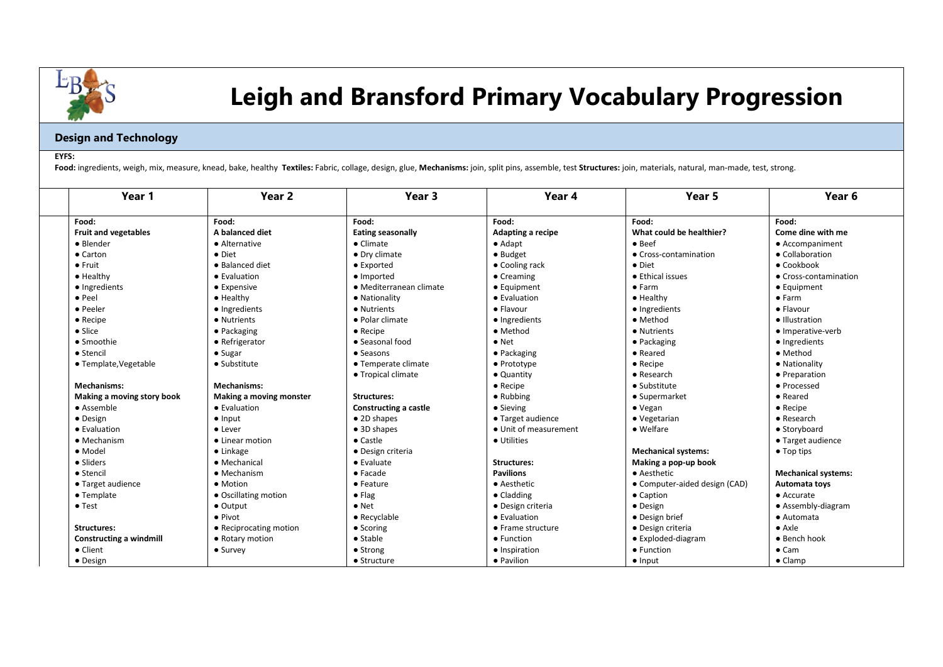

## **Leigh and Bransford Primary Vocabulary Progression**

## **Design and Technology**

## **EYFS:**

Food: ingredients, weigh, mix, measure, knead, bake, healthy Textiles: Fabric, collage, design, glue, Mechanisms: join, split pins, assemble, test Structures: join, materials, natural, man-made, test, strong.

| Year 1                         | Year <sub>2</sub>       | Year <sub>3</sub>        | Year 4                | Year 5                        | Year <sub>6</sub>          |
|--------------------------------|-------------------------|--------------------------|-----------------------|-------------------------------|----------------------------|
| Food:                          | Food:                   | Food:                    | Food:                 | Food:                         | Food:                      |
| <b>Fruit and vegetables</b>    | A balanced diet         | <b>Eating seasonally</b> | Adapting a recipe     | What could be healthier?      | Come dine with me          |
| • Blender                      | • Alternative           | $\bullet$ Climate        | $\bullet$ Adapt       | $\bullet$ Beef                | • Accompaniment            |
| $\bullet$ Carton               | $\bullet$ Diet          | • Drv climate            | $\bullet$ Budget      | • Cross-contamination         | • Collaboration            |
| $\bullet$ Fruit                | · Balanced diet         | • Exported               | • Cooling rack        | $\bullet$ Diet                | $\bullet$ Cookbook         |
| • Healthy                      | • Evaluation            | · Imported               | $\bullet$ Creaming    | • Ethical issues              | • Cross-contamination      |
| · Ingredients                  | • Expensive             | · Mediterranean climate  | $\bullet$ Equipment   | • Farm                        | $\bullet$ Equipment        |
| $\bullet$ Peel                 | $\bullet$ Healthy       | • Nationality            | • Evaluation          | $\bullet$ Healthy             | $\bullet$ Farm             |
| • Peeler                       | • Ingredients           | • Nutrients              | $\bullet$ Flavour     | • Ingredients                 | $\bullet$ Flavour          |
| $\bullet$ Recipe               | • Nutrients             | · Polar climate          | • Ingredients         | • Method                      | · Illustration             |
| • Slice                        | • Packaging             | $\bullet$ Recipe         | • Method              | • Nutrients                   | · Imperative-verb          |
| • Smoothie                     | • Refrigerator          | • Seasonal food          | $\bullet$ Net         | • Packaging                   | • Ingredients              |
| • Stencil                      | $\bullet$ Sugar         | $\bullet$ Seasons        | $\bullet$ Packaging   | • Reared                      | • Method                   |
| • Template, Vegetable          | • Substitute            | • Temperate climate      | $\bullet$ Prototype   | $\bullet$ Recipe              | • Nationality              |
|                                |                         | • Tropical climate       | • Quantity            | • Research                    | • Preparation              |
| <b>Mechanisms:</b>             | <b>Mechanisms:</b>      |                          | $\bullet$ Recipe      | $\bullet$ Substitute          | • Processed                |
| Making a moving story book     | Making a moving monster | <b>Structures:</b>       | • Rubbing             | • Supermarket                 | • Reared                   |
| • Assemble                     | • Evaluation            | Constructing a castle    | • Sieving             | $\bullet$ Vegan               | $\bullet$ Recipe           |
| $\bullet$ Design               | $\bullet$ Input         | • 2D shapes              | • Target audience     | • Vegetarian                  | $\bullet$ Research         |
| $\bullet$ Evaluation           | • Lever                 | • 3D shapes              | • Unit of measurement | $\bullet$ Welfare             | • Storyboard               |
| • Mechanism                    | • Linear motion         | $\bullet$ Castle         | • Utilities           |                               | • Target audience          |
| · Model                        | $\bullet$ Linkage       | • Design criteria        |                       | <b>Mechanical systems:</b>    | $\bullet$ Top tips         |
| • Sliders                      | • Mechanical            | $\bullet$ Evaluate       | <b>Structures:</b>    | Making a pop-up book          |                            |
| • Stencil                      | $\bullet$ Mechanism     | $\bullet$ Facade         | <b>Pavilions</b>      | • Aesthetic                   | <b>Mechanical systems:</b> |
| • Target audience              | • Motion                | • Feature                | • Aesthetic           | • Computer-aided design (CAD) | Automata toys              |
| • Template                     | • Oscillating motion    | $\bullet$ Flag           | $\bullet$ Cladding    | • Caption                     | $\bullet$ Accurate         |
| $\bullet$ Test                 | $\bullet$ Output        | $\bullet$ Net            | • Design criteria     | • Design                      | • Assembly-diagram         |
|                                | $\bullet$ Pivot         | • Recyclable             | • Evaluation          | • Design brief                | • Automata                 |
| <b>Structures:</b>             | • Reciprocating motion  | • Scoring                | • Frame structure     | • Design criteria             | $\bullet$ Axle             |
| <b>Constructing a windmill</b> | • Rotary motion         | $\bullet$ Stable         | • Function            | • Exploded-diagram            | • Bench hook               |
| • Client                       | $\bullet$ Survey        | • Strong                 | • Inspiration         | • Function                    | $\bullet$ Cam              |
| • Design                       |                         | • Structure              | • Pavilion            | $\bullet$ Input               | $\bullet$ Clamp            |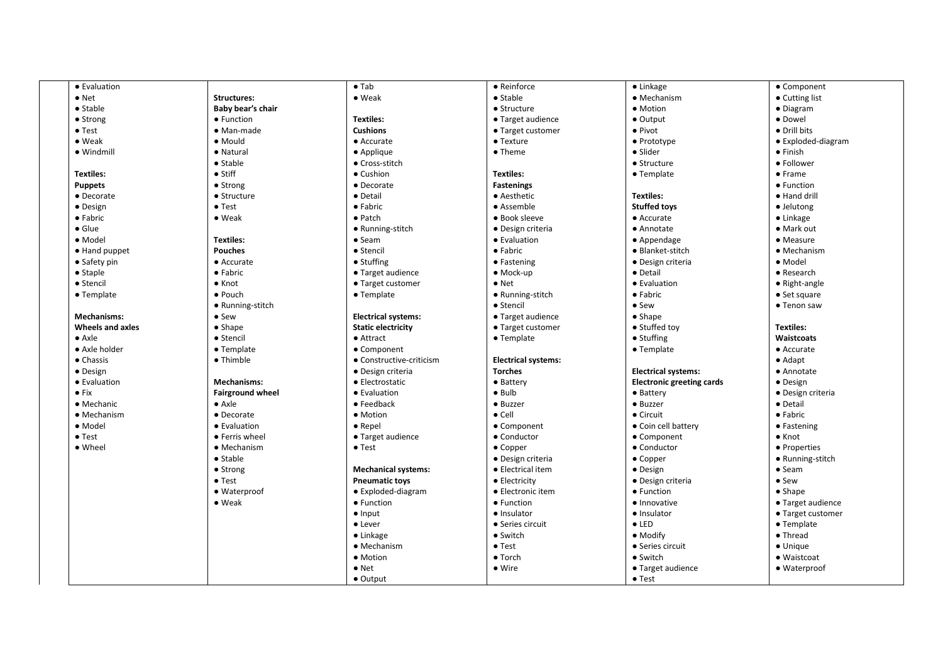| • Evaluation            |                         | $\bullet$ Tab              | • Reinforce                | $\bullet$ Linkage                | • Component            |
|-------------------------|-------------------------|----------------------------|----------------------------|----------------------------------|------------------------|
| $\bullet$ Net           | <b>Structures:</b>      | • Weak                     | • Stable                   | • Mechanism                      | • Cutting list         |
| $\bullet$ Stable        | Baby bear's chair       |                            | $\bullet$ Structure        | • Motion                         | • Diagram              |
| • Strong                | • Function              | <b>Textiles:</b>           | • Target audience          | $\bullet$ Output                 | · Dowel                |
| $\bullet$ Test          | $\bullet$ Man-made      | <b>Cushions</b>            | • Target customer          | • Pivot                          | • Drill bits           |
| $\bullet$ Weak          | · Mould                 | • Accurate                 | $\bullet$ Texture          | • Prototype                      | • Exploded-diagram     |
| $\bullet$ Windmill      | • Natural               | • Applique                 | • Theme                    | • Slider                         | $\bullet$ Finish       |
|                         | $\bullet$ Stable        | • Cross-stitch             |                            | • Structure                      | • Follower             |
| <b>Textiles:</b>        | $\bullet$ Stiff         | • Cushion                  | <b>Textiles:</b>           | • Template                       | • Frame                |
| <b>Puppets</b>          | $\bullet$ Strong        | • Decorate                 | <b>Fastenings</b>          |                                  | • Function             |
| • Decorate              | $\bullet$ Structure     | • Detail                   | • Aesthetic                | <b>Textiles:</b>                 | • Hand drill           |
| • Design                | $\bullet$ Test          | $\bullet$ Fabric           | • Assemble                 | <b>Stuffed toys</b>              | · Jelutong             |
| • Fabric                | $\bullet$ Weak          | $\bullet$ Patch            | • Book sleeve              | • Accurate                       | $\bullet$ Linkage      |
| $\bullet$ Glue          |                         | • Running-stitch           | • Design criteria          | • Annotate                       | • Mark out             |
| · Model                 | <b>Textiles:</b>        | $•$ Seam                   | • Evaluation               | • Appendage                      | • Measure              |
|                         |                         |                            |                            |                                  |                        |
| • Hand puppet           | <b>Pouches</b>          | • Stencil<br>• Stuffing    | • Fabric                   | • Blanket-stitch                 | • Mechanism<br>• Model |
| $\bullet$ Safety pin    | • Accurate              |                            | • Fastening                | · Design criteria                |                        |
| $\bullet$ Staple        | • Fabric                | • Target audience          | $\bullet$ Mock-up          | • Detail                         | • Research             |
| • Stencil               | $\bullet$ Knot          | • Target customer          | $\bullet$ Net              | • Evaluation                     | $\bullet$ Right-angle  |
| • Template              | • Pouch                 | • Template                 | • Running-stitch           | $\bullet$ Fabric                 | $\bullet$ Set square   |
|                         | • Running-stitch        |                            | • Stencil                  | $\bullet$ Sew                    | $\bullet$ Tenon saw    |
| <b>Mechanisms:</b>      | $\bullet$ Sew           | <b>Electrical systems:</b> | • Target audience          | $\bullet$ Shape                  |                        |
| <b>Wheels and axles</b> | $\bullet$ Shape         | <b>Static electricity</b>  | • Target customer          | • Stuffed toy                    | <b>Textiles:</b>       |
| $\bullet$ Axle          | • Stencil               | • Attract                  | • Template                 | • Stuffing                       | Waistcoats             |
| • Axle holder           | • Template              | • Component                |                            | • Template                       | • Accurate             |
| $\bullet$ Chassis       | • Thimble               | • Constructive-criticism   | <b>Electrical systems:</b> |                                  | $\bullet$ Adapt        |
| • Design                |                         | • Design criteria          | <b>Torches</b>             | <b>Electrical systems:</b>       | • Annotate             |
| • Evaluation            | <b>Mechanisms:</b>      | • Electrostatic            | • Battery                  | <b>Electronic greeting cards</b> | • Design               |
| $\bullet$ Fix           | <b>Fairground wheel</b> | • Evaluation               | $\bullet$ Bulb             | • Battery                        | • Design criteria      |
| • Mechanic              | $\bullet$ Axle          | $\bullet$ Feedback         | • Buzzer                   | • Buzzer                         | • Detail               |
| • Mechanism             | • Decorate              | • Motion                   | $\bullet$ Cell             | • Circuit                        | • Fabric               |
| · Model                 | • Evaluation            | $\bullet$ Repel            | • Component                | • Coin cell battery              | • Fastening            |
| $\bullet$ Test          | • Ferris wheel          | • Target audience          | • Conductor                | • Component                      | $\bullet$ Knot         |
| • Wheel                 | • Mechanism             | $\bullet$ Test             | $\bullet$ Copper           | • Conductor                      | • Properties           |
|                         | $\bullet$ Stable        |                            | • Design criteria          | $\bullet$ Copper                 | • Running-stitch       |
|                         | • Strong                | <b>Mechanical systems:</b> | • Electrical item          | • Design                         | $\bullet$ Seam         |
|                         | $\bullet$ Test          | <b>Pneumatic toys</b>      | • Electricity              | • Design criteria                | • Sew                  |
|                         | • Waterproof            | • Exploded-diagram         | • Electronic item          | • Function                       | $\bullet$ Shape        |
|                         | $\bullet$ Weak          | • Function                 | • Function                 | • Innovative                     | • Target audience      |
|                         |                         | $\bullet$ Input            | · Insulator                | · Insulator                      | • Target customer      |
|                         |                         | • Lever                    | • Series circuit           | $\bullet$ LED                    | • Template             |
|                         |                         | $\bullet$ Linkage          | • Switch                   | • Modify                         | • Thread               |
|                         |                         | • Mechanism                | $\bullet$ Test             | • Series circuit                 | $\bullet$ Unique       |
|                         |                         | • Motion                   | • Torch                    | • Switch                         | · Waistcoat            |
|                         |                         | $\bullet$ Net              | • Wire                     | • Target audience                | • Waterproof           |
|                         |                         | $\bullet$ Output           |                            | $\bullet$ Test                   |                        |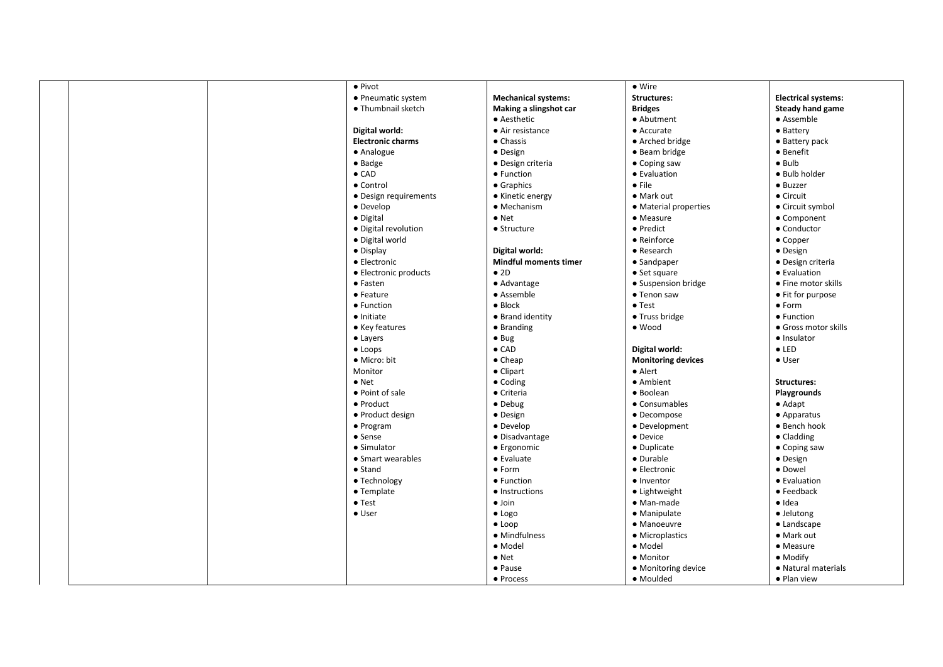| • Pivot                  |                              | $\bullet$ Wire            |                            |
|--------------------------|------------------------------|---------------------------|----------------------------|
| • Pneumatic system       | <b>Mechanical systems:</b>   | <b>Structures:</b>        | <b>Electrical systems:</b> |
| • Thumbnail sketch       | Making a slingshot car       | <b>Bridges</b>            | <b>Steady hand game</b>    |
|                          | • Aesthetic                  | • Abutment                | • Assemble                 |
| Digital world:           | • Air resistance             | $\bullet$ Accurate        | • Battery                  |
| <b>Electronic charms</b> | $\bullet$ Chassis            | • Arched bridge           | • Battery pack             |
| • Analogue               | · Design                     | • Beam bridge             | • Benefit                  |
| $\bullet$ Badge          | • Design criteria            | $\bullet$ Coping saw      | $\bullet$ Bulb             |
| $\bullet$ CAD            | • Function                   | • Evaluation              | · Bulb holder              |
| • Control                | • Graphics                   | $\bullet$ File            | · Buzzer                   |
| • Design requirements    | • Kinetic energy             | • Mark out                | • Circuit                  |
| • Develop                | • Mechanism                  | • Material properties     | • Circuit symbol           |
| • Digital                | $\bullet$ Net                | • Measure                 | • Component                |
| • Digital revolution     | • Structure                  | • Predict                 | • Conductor                |
| • Digital world          |                              | • Reinforce               | • Copper                   |
| $\bullet$ Display        | Digital world:               | • Research                | · Design                   |
| • Electronic             | <b>Mindful moments timer</b> | • Sandpaper               | · Design criteria          |
| • Electronic products    | • 2D                         | $\bullet$ Set square      | • Evaluation               |
| • Fasten                 | • Advantage                  | • Suspension bridge       | • Fine motor skills        |
| $\bullet$ Feature        | • Assemble                   | • Tenon saw               | • Fit for purpose          |
| • Function               | $\bullet$ Block              | $\bullet$ Test            | • Form                     |
| $\bullet$ Initiate       | • Brand identity             | • Truss bridge            | • Function                 |
| • Key features           | • Branding                   | $\bullet$ Wood            | • Gross motor skills       |
| $\bullet$ Layers         | $\bullet$ Bug                |                           | · Insulator                |
| $\bullet$ Loops          | $\bullet$ CAD                | Digital world:            | $\bullet$ LED              |
| • Micro: bit             | $\bullet$ Cheap              | <b>Monitoring devices</b> | • User                     |
| Monitor                  | • Clipart                    | $\bullet$ Alert           |                            |
| $\bullet$ Net            | • Coding                     | • Ambient                 | <b>Structures:</b>         |
| • Point of sale          | • Criteria                   | · Boolean                 | Playgrounds                |
| • Product                | $\bullet$ Debug              | • Consumables             | $\bullet$ Adapt            |
| • Product design         | • Design                     | • Decompose               | • Apparatus                |
| • Program                | • Develop                    | • Development             | • Bench hook               |
| • Sense                  | · Disadvantage               | • Device                  | $\bullet$ Cladding         |
| • Simulator              | • Ergonomic                  | • Duplicate               | $\bullet$ Coping saw       |
| • Smart wearables        | $\bullet$ Evaluate           | • Durable                 | • Design                   |
| $\bullet$ Stand          | $\bullet$ Form               | • Electronic              | · Dowel                    |
| • Technology             | • Function                   | · Inventor                | • Evaluation               |
| • Template               | • Instructions               | $\bullet$ Lightweight     | • Feedback                 |
| $\bullet$ Test           | $\bullet$ Join               | • Man-made                | $\bullet$ Idea             |
| $\bullet$ User           | $\bullet$ Logo               | • Manipulate              | · Jelutong                 |
|                          | $\bullet$ Loop               | • Manoeuvre               | • Landscape                |
|                          | · Mindfulness                | • Microplastics           | • Mark out                 |
|                          | · Model                      | • Model                   | • Measure                  |
|                          | $\bullet$ Net                | • Monitor                 | • Modify                   |
|                          | • Pause                      | • Monitoring device       | • Natural materials        |
|                          | • Process                    | • Moulded                 | • Plan view                |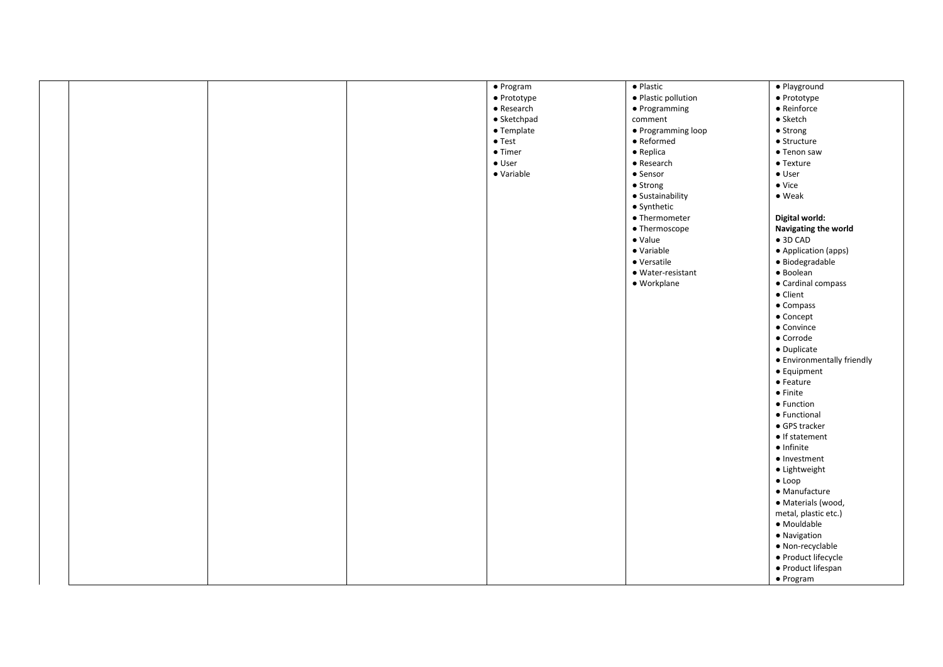|  |  | • Program          | • Plastic                 | · Playground               |
|--|--|--------------------|---------------------------|----------------------------|
|  |  | • Prototype        | · Plastic pollution       | · Prototype                |
|  |  | $\bullet$ Research | • Programming             | $\bullet$ Reinforce        |
|  |  | • Sketchpad        | comment                   | $\bullet$ Sketch           |
|  |  | • Template         | • Programming loop        | • Strong                   |
|  |  | $\bullet$ Test     | $\bullet$ Reformed        | $\bullet$ Structure        |
|  |  | $\bullet$ Timer    | $\bullet$ Replica         | $\bullet$ Tenon saw        |
|  |  | $\bullet$ User     | $\bullet$ Research        | • Texture                  |
|  |  | · Variable         | • Sensor                  | $\bullet$ User             |
|  |  |                    | • Strong                  | $\bullet$ Vice             |
|  |  |                    | · Sustainability          | $\bullet$ Weak             |
|  |  |                    |                           |                            |
|  |  |                    | • Synthetic               |                            |
|  |  |                    | $\bullet$ Thermometer     | Digital world:             |
|  |  |                    | • Thermoscope             | Navigating the world       |
|  |  |                    | $\bullet$ Value           | $\bullet$ 3D CAD           |
|  |  |                    | · Variable                | • Application (apps)       |
|  |  |                    | • Versatile               | · Biodegradable            |
|  |  |                    | $\bullet$ Water-resistant | $\bullet$ Boolean          |
|  |  |                    | · Workplane               | • Cardinal compass         |
|  |  |                    |                           | • Client                   |
|  |  |                    |                           | • Compass                  |
|  |  |                    |                           | • Concept                  |
|  |  |                    |                           | • Convince                 |
|  |  |                    |                           | • Corrode                  |
|  |  |                    |                           | $\bullet$ Duplicate        |
|  |  |                    |                           | • Environmentally friendly |
|  |  |                    |                           | • Equipment                |
|  |  |                    |                           | $\bullet$ Feature          |
|  |  |                    |                           | $\bullet$ Finite           |
|  |  |                    |                           |                            |
|  |  |                    |                           | • Function                 |
|  |  |                    |                           | • Functional               |
|  |  |                    |                           | • GPS tracker              |
|  |  |                    |                           | $\bullet$ If statement     |
|  |  |                    |                           | $\bullet$ Infinite         |
|  |  |                    |                           | • Investment               |
|  |  |                    |                           | · Lightweight              |
|  |  |                    |                           | $\bullet$ Loop             |
|  |  |                    |                           | · Manufacture              |
|  |  |                    |                           | · Materials (wood,         |
|  |  |                    |                           | metal, plastic etc.)       |
|  |  |                    |                           | • Mouldable                |
|  |  |                    |                           | · Navigation               |
|  |  |                    |                           | · Non-recyclable           |
|  |  |                    |                           | · Product lifecycle        |
|  |  |                    |                           | • Product lifespan         |
|  |  |                    |                           |                            |
|  |  |                    |                           | $\bullet$ Program          |